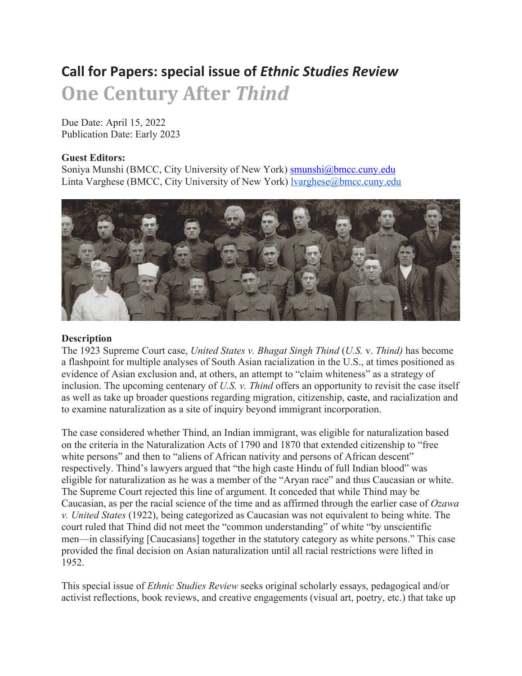# **Call for Papers: special issue of** *Ethnic Studies Review* **One Century After** *Thind*

Due Date: April 15, 2022 Publication Date: Early 2023

### **Guest Editors:**

Soniya Munshi (BMCC, City University of New York) smunshi@bmcc.cuny.edu Linta Varghese (BMCC, City University of New York) lvarghese@bmcc.cuny.edu



#### **Description**

The 1923 Supreme Court case, *United States v. Bhagat Singh Thind* (*U.S.* v. *Thind)* has become a flashpoint for multiple analyses of South Asian racialization in the U.S., at times positioned as evidence of Asian exclusion and, at others, an attempt to "claim whiteness" as a strategy of inclusion. The upcoming centenary of *U.S. v. Thind* offers an opportunity to revisit the case itself as well as take up broader questions regarding migration, citizenship, caste, and racialization and to examine naturalization as a site of inquiry beyond immigrant incorporation.

The case considered whether Thind, an Indian immigrant, was eligible for naturalization based on the criteria in the Naturalization Acts of 1790 and 1870 that extended citizenship to "free white persons" and then to "aliens of African nativity and persons of African descent" respectively. Thind's lawyers argued that "the high caste Hindu of full Indian blood" was eligible for naturalization as he was a member of the "Aryan race" and thus Caucasian or white. The Supreme Court rejected this line of argument. It conceded that while Thind may be Caucasian, as per the racial science of the time and as affirmed through the earlier case of *Ozawa v. United States* (1922), being categorized as Caucasian was not equivalent to being white. The court ruled that Thind did not meet the "common understanding" of white "by unscientific men—in classifying [Caucasians] together in the statutory category as white persons." This case provided the final decision on Asian naturalization until all racial restrictions were lifted in 1952.

This special issue of *Ethnic Studies Review* seeks original scholarly essays, pedagogical and/or activist reflections, book reviews, and creative engagements (visual art, poetry, etc.) that take up